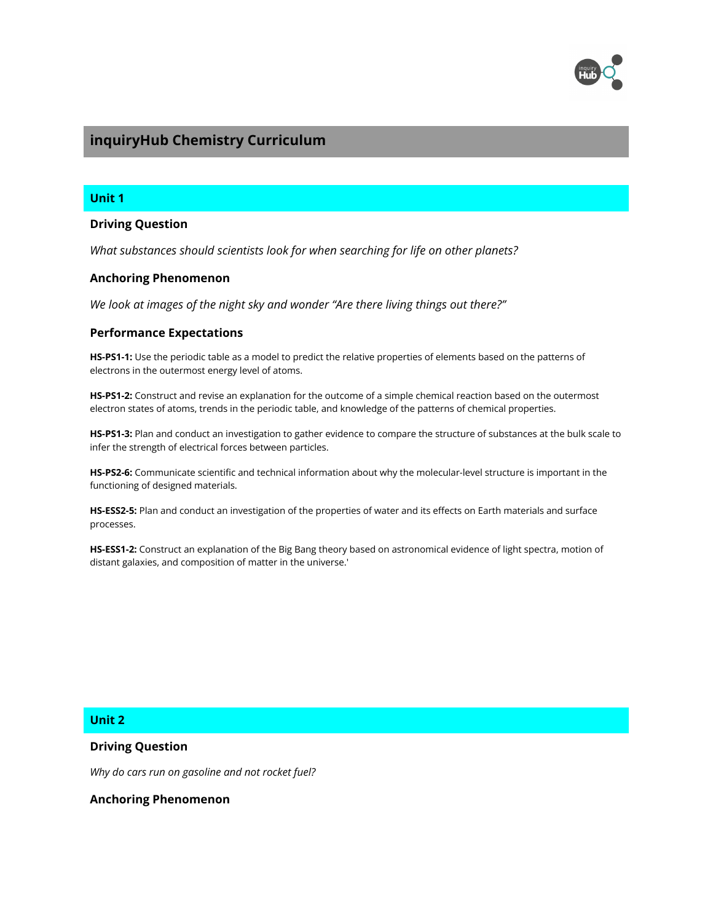

# **inquiryHub Chemistry Curriculum**

## **Unit 1**

## **Driving Question**

*What substances should scientists look for when searching for life on other planets?*

#### **Anchoring Phenomenon**

*We look at images of the night sky and wonder "Are there living things out there?"*

## **Performance Expectations**

**HS-PS1-1:** Use the periodic table as a model to predict the relative properties of elements based on the patterns of electrons in the outermost energy level of atoms.

**HS-PS1-2:** Construct and revise an explanation for the outcome of a simple chemical reaction based on the outermost electron states of atoms, trends in the periodic table, and knowledge of the patterns of chemical properties.

**HS-PS1-3:** Plan and conduct an investigation to gather evidence to compare the structure of substances at the bulk scale to infer the strength of electrical forces between particles.

**HS-PS2-6:** Communicate scientific and technical information about why the molecular-level structure is important in the functioning of designed materials.

**HS-ESS2-5:** Plan and conduct an investigation of the properties of water and its effects on Earth materials and surface processes.

**HS-ESS1-2:** Construct an explanation of the Big Bang theory based on astronomical evidence of light spectra, motion of distant galaxies, and composition of matter in the universe.'

## **Unit 2**

### **Driving Question**

*Why do cars run on gasoline and not rocket fuel?*

**Anchoring Phenomenon**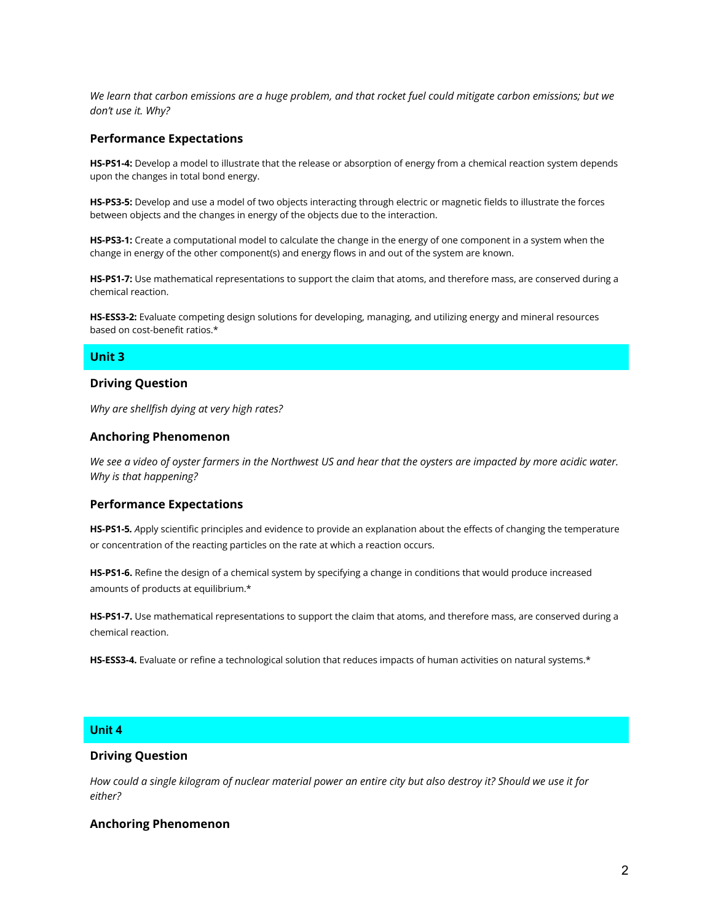*We learn that carbon emissions are a huge problem, and that rocket fuel could mitigate carbon emissions; but we don't use it. Why?*

#### **Performance Expectations**

**HS-PS1-4:** Develop a model to illustrate that the release or absorption of energy from a chemical reaction system depends upon the changes in total bond energy.

**HS-PS3-5:** Develop and use a model of two objects interacting through electric or magnetic fields to illustrate the forces between objects and the changes in energy of the objects due to the interaction.

**HS-PS3-1:** Create a computational model to calculate the change in the energy of one component in a system when the change in energy of the other component(s) and energy flows in and out of the system are known.

**HS-PS1-7:** Use mathematical representations to support the claim that atoms, and therefore mass, are conserved during a chemical reaction.

**HS-ESS3-2:** Evaluate competing design solutions for developing, managing, and utilizing energy and mineral resources based on cost-benefit ratios.\*

## **Unit 3**

## **Driving Question**

*Why are shellfish dying at very high rates?*

#### **Anchoring Phenomenon**

*We see a video of oyster farmers in the Northwest US and hear that the oysters are impacted by more acidic water. Why is that happening?*

#### **Performance Expectations**

**HS-PS1-5***. A*pply scientific principles and evidence to provide an explanation about the effects of changing the temperature or concentration of the reacting particles on the rate at which a reaction occurs.

**HS-PS1-6.** Refine the design of a chemical system by specifying a change in conditions that would produce increased amounts of products at equilibrium.\*

**HS-PS1-7.** Use mathematical representations to support the claim that atoms, and therefore mass, are conserved during a chemical reaction.

**HS-ESS3-4.** Evaluate or refine a technological solution that reduces impacts of human activities on natural systems.\*

## **Unit 4**

#### **Driving Question**

*How could a single kilogram of nuclear material power an entire city but also destroy it? Should we use it for either?*

#### **Anchoring Phenomenon**